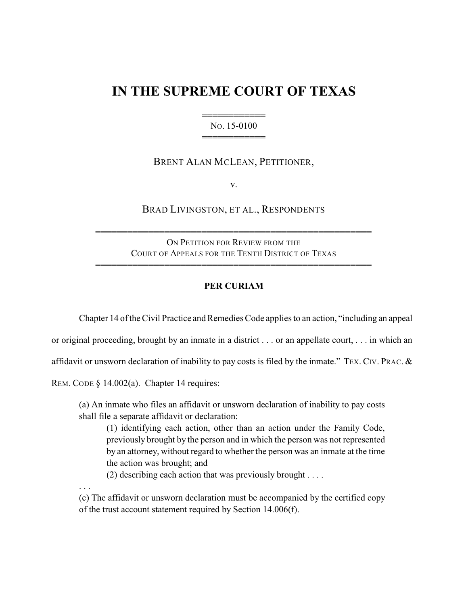## **IN THE SUPREME COURT OF TEXAS**

## 444444444444 NO. 15-0100 444444444444

## BRENT ALAN MCLEAN, PETITIONER,

v.

BRAD LIVINGSTON, ET AL., RESPONDENTS

ON PETITION FOR REVIEW FROM THE COURT OF APPEALS FOR THE TENTH DISTRICT OF TEXAS 4444444444444444444444444444444444444444444444444444

4444444444444444444444444444444444444444444444444444

## **PER CURIAM**

Chapter 14 of the Civil Practice and Remedies Code applies to an action, "including an appeal

or original proceeding, brought by an inmate in a district . . . or an appellate court, . . . in which an

affidavit or unsworn declaration of inability to pay costs is filed by the inmate." TEX. CIV. PRAC. &

REM. CODE § 14.002(a). Chapter 14 requires:

(a) An inmate who files an affidavit or unsworn declaration of inability to pay costs shall file a separate affidavit or declaration:

(1) identifying each action, other than an action under the Family Code, previously brought by the person and in which the person was not represented by an attorney, without regard to whether the person was an inmate at the time the action was brought; and

(2) describing each action that was previously brought . . . .

. . .

(c) The affidavit or unsworn declaration must be accompanied by the certified copy of the trust account statement required by Section 14.006(f).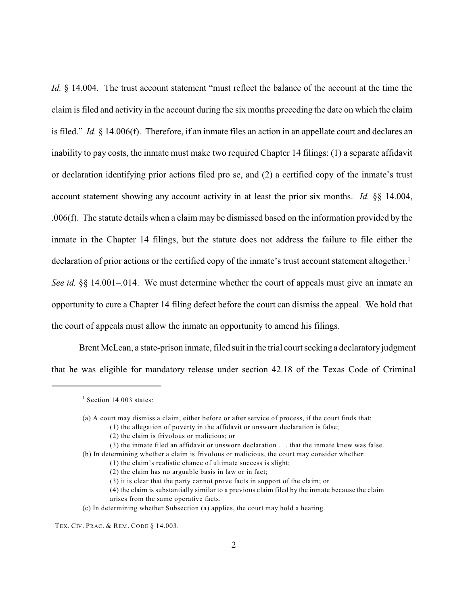*Id.* § 14.004. The trust account statement "must reflect the balance of the account at the time the claim is filed and activity in the account during the six months preceding the date on which the claim is filed." *Id.* § 14.006(f). Therefore, if an inmate files an action in an appellate court and declares an inability to pay costs, the inmate must make two required Chapter 14 filings: (1) a separate affidavit or declaration identifying prior actions filed pro se, and (2) a certified copy of the inmate's trust account statement showing any account activity in at least the prior six months. *Id.* §§ 14.004, .006(f). The statute details when a claim may be dismissed based on the information provided by the inmate in the Chapter 14 filings, but the statute does not address the failure to file either the declaration of prior actions or the certified copy of the inmate's trust account statement altogether.<sup>1</sup> *See id.* §§ 14.001–.014. We must determine whether the court of appeals must give an inmate an opportunity to cure a Chapter 14 filing defect before the court can dismiss the appeal. We hold that the court of appeals must allow the inmate an opportunity to amend his filings.

Brent McLean, a state-prison inmate, filed suit in the trial court seeking a declaratory judgment that he was eligible for mandatory release under section 42.18 of the Texas Code of Criminal

 $1$  Section 14.003 states:

<sup>(</sup>a) A court may dismiss a claim, either before or after service of process, if the court finds that:

<sup>(1)</sup> the allegation of poverty in the affidavit or unsworn declaration is false;

<sup>(2)</sup> the claim is frivolous or malicious; or

<sup>(3)</sup> the inmate filed an affidavit or unsworn declaration . . . that the inmate knew was false. (b) In determining whether a claim is frivolous or malicious, the court may consider whether:

<sup>(1)</sup> the claim's realistic chance of ultimate success is slight;

<sup>(2)</sup> the claim has no arguable basis in law or in fact;

<sup>(3)</sup> it is clear that the party cannot prove facts in support of the claim; or

<sup>(4)</sup> the claim is substantially similar to a previous claim filed by the inmate because the claim arises from the same operative facts.

<sup>(</sup>c) In determining whether Subsection (a) applies, the court may hold a hearing.

TEX. CIV. PRAC. & REM. CODE § 14.003.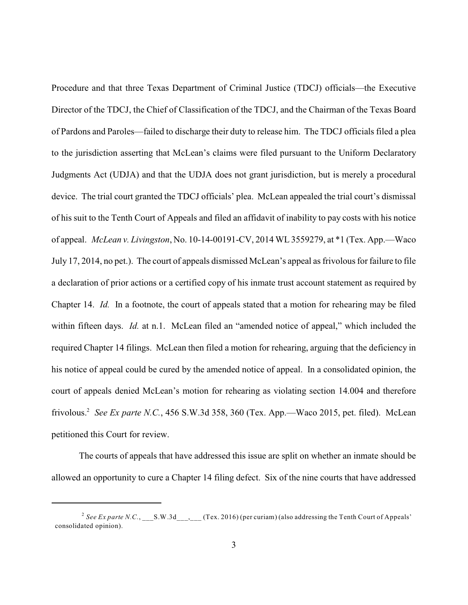Procedure and that three Texas Department of Criminal Justice (TDCJ) officials—the Executive Director of the TDCJ, the Chief of Classification of the TDCJ, and the Chairman of the Texas Board of Pardons and Paroles—failed to discharge their duty to release him. The TDCJ officials filed a plea to the jurisdiction asserting that McLean's claims were filed pursuant to the Uniform Declaratory Judgments Act (UDJA) and that the UDJA does not grant jurisdiction, but is merely a procedural device. The trial court granted the TDCJ officials' plea. McLean appealed the trial court's dismissal of his suit to the Tenth Court of Appeals and filed an affidavit of inability to pay costs with his notice of appeal. *McLean v. Livingston*, No. 10-14-00191-CV, 2014 WL 3559279, at \*1 (Tex. App.—Waco July 17, 2014, no pet.). The court of appeals dismissed McLean's appeal as frivolous for failure to file a declaration of prior actions or a certified copy of his inmate trust account statement as required by Chapter 14. *Id.* In a footnote, the court of appeals stated that a motion for rehearing may be filed within fifteen days. *Id.* at n.1. McLean filed an "amended notice of appeal," which included the required Chapter 14 filings. McLean then filed a motion for rehearing, arguing that the deficiency in his notice of appeal could be cured by the amended notice of appeal. In a consolidated opinion, the court of appeals denied McLean's motion for rehearing as violating section 14.004 and therefore frivolous.<sup>2</sup> See Ex parte N.C., 456 S.W.3d 358, 360 (Tex. App.—Waco 2015, pet. filed). McLean petitioned this Court for review.

The courts of appeals that have addressed this issue are split on whether an inmate should be allowed an opportunity to cure a Chapter 14 filing defect. Six of the nine courts that have addressed

<sup>&</sup>lt;sup>2</sup> See *Ex parte N.C.*, \_\_\_S.W.3d\_\_\_, \_\_\_ (Tex. 2016) (per curiam) (also addressing the Tenth Court of Appeals' consolidated opinion).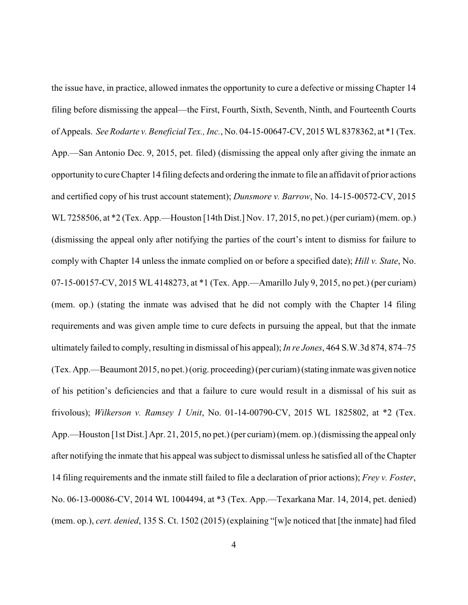the issue have, in practice, allowed inmates the opportunity to cure a defective or missing Chapter 14 filing before dismissing the appeal—the First, Fourth, Sixth, Seventh, Ninth, and Fourteenth Courts of Appeals. *SeeRodarte v. Beneficial Tex., Inc.*, No. 04-15-00647-CV, 2015 WL8378362, at \*1 (Tex. App.—San Antonio Dec. 9, 2015, pet. filed) (dismissing the appeal only after giving the inmate an opportunity to cureChapter 14 filing defects and ordering the inmate to file an affidavit of prior actions and certified copy of his trust account statement); *Dunsmore v. Barrow*, No. 14-15-00572-CV, 2015 WL 7258506, at \*2 (Tex. App.—Houston [14th Dist.] Nov. 17, 2015, no pet.) (per curiam) (mem. op.) (dismissing the appeal only after notifying the parties of the court's intent to dismiss for failure to comply with Chapter 14 unless the inmate complied on or before a specified date); *Hill v. State*, No. 07-15-00157-CV, 2015 WL 4148273, at \*1 (Tex. App.—Amarillo July 9, 2015, no pet.) (per curiam) (mem. op.) (stating the inmate was advised that he did not comply with the Chapter 14 filing requirements and was given ample time to cure defects in pursuing the appeal, but that the inmate ultimately failed to comply, resulting in dismissal of his appeal); *In re Jones*, 464 S.W.3d 874, 874–75 (Tex. App.—Beaumont 2015, no pet.) (orig. proceeding) (per curiam) (stating inmate was given notice of his petition's deficiencies and that a failure to cure would result in a dismissal of his suit as frivolous); *Wilkerson v. Ramsey 1 Unit*, No. 01-14-00790-CV, 2015 WL 1825802, at \*2 (Tex. App.—Houston [1st Dist.] Apr. 21, 2015, no pet.) (per curiam) (mem. op.) (dismissing the appeal only after notifying the inmate that his appeal was subject to dismissal unless he satisfied all of the Chapter 14 filing requirements and the inmate still failed to file a declaration of prior actions); *Frey v. Foster*, No. 06-13-00086-CV, 2014 WL 1004494, at \*3 (Tex. App.—Texarkana Mar. 14, 2014, pet. denied) (mem. op.), *cert. denied*, 135 S. Ct. 1502 (2015) (explaining "[w]e noticed that [the inmate] had filed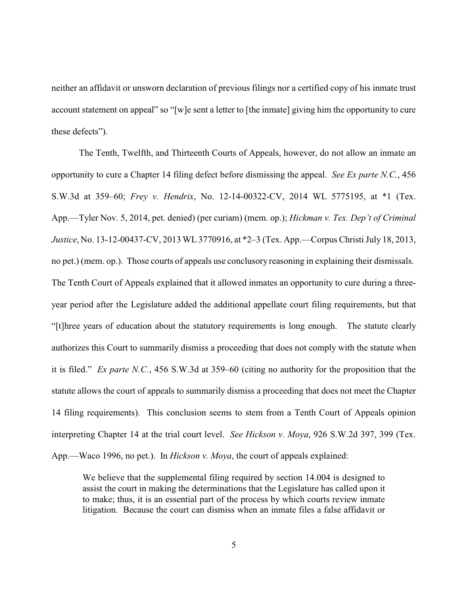neither an affidavit or unsworn declaration of previous filings nor a certified copy of his inmate trust account statement on appeal" so "[w]e sent a letter to [the inmate] giving him the opportunity to cure these defects").

The Tenth, Twelfth, and Thirteenth Courts of Appeals, however, do not allow an inmate an opportunity to cure a Chapter 14 filing defect before dismissing the appeal. *See Ex parte N.C.*, 456 S.W.3d at 359–60; *Frey v. Hendrix*, No. 12-14-00322-CV, 2014 WL 5775195, at \*1 (Tex. App.—Tyler Nov. 5, 2014, pet. denied) (per curiam) (mem. op.); *Hickman v. Tex. Dep't of Criminal Justice*, No. 13-12-00437-CV, 2013 WL 3770916, at \*2–3 (Tex. App.—Corpus Christi July 18, 2013, no pet.) (mem. op.). Those courts of appeals use conclusory reasoning in explaining their dismissals. The Tenth Court of Appeals explained that it allowed inmates an opportunity to cure during a threeyear period after the Legislature added the additional appellate court filing requirements, but that "[t]hree years of education about the statutory requirements is long enough. The statute clearly authorizes this Court to summarily dismiss a proceeding that does not comply with the statute when it is filed." *Ex parte N.C.*, 456 S.W.3d at 359–60 (citing no authority for the proposition that the statute allows the court of appeals to summarily dismiss a proceeding that does not meet the Chapter 14 filing requirements). This conclusion seems to stem from a Tenth Court of Appeals opinion interpreting Chapter 14 at the trial court level. *See Hickson v. Moya*, 926 S.W.2d 397, 399 (Tex. App.—Waco 1996, no pet.). In *Hickson v. Moya*, the court of appeals explained:

We believe that the supplemental filing required by section 14.004 is designed to assist the court in making the determinations that the Legislature has called upon it to make; thus, it is an essential part of the process by which courts review inmate litigation. Because the court can dismiss when an inmate files a false affidavit or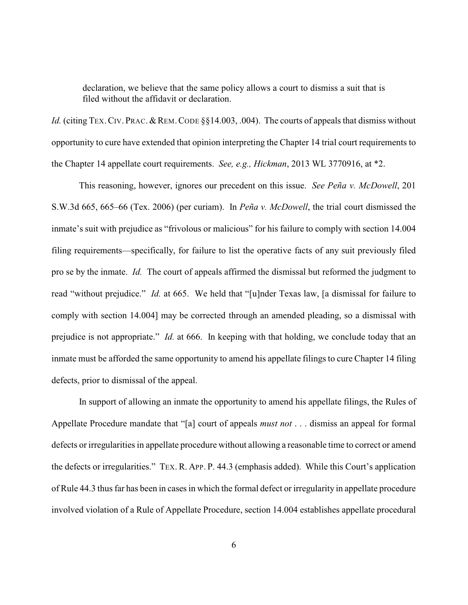declaration, we believe that the same policy allows a court to dismiss a suit that is filed without the affidavit or declaration.

*Id.* (citing TEX. CIV. PRAC. & REM. CODE §§14.003, .004). The courts of appeals that dismiss without opportunity to cure have extended that opinion interpreting the Chapter 14 trial court requirements to the Chapter 14 appellate court requirements. *See, e.g., Hickman*, 2013 WL 3770916, at \*2.

This reasoning, however, ignores our precedent on this issue. *See Peña v. McDowell*, 201 S.W.3d 665, 665–66 (Tex. 2006) (per curiam). In *Peña v. McDowell*, the trial court dismissed the inmate's suit with prejudice as "frivolous or malicious" for his failure to comply with section 14.004 filing requirements—specifically, for failure to list the operative facts of any suit previously filed pro se by the inmate. *Id.* The court of appeals affirmed the dismissal but reformed the judgment to read "without prejudice." *Id.* at 665. We held that "[u]nder Texas law, [a dismissal for failure to comply with section 14.004] may be corrected through an amended pleading, so a dismissal with prejudice is not appropriate." *Id.* at 666. In keeping with that holding, we conclude today that an inmate must be afforded the same opportunity to amend his appellate filings to cure Chapter 14 filing defects, prior to dismissal of the appeal.

In support of allowing an inmate the opportunity to amend his appellate filings, the Rules of Appellate Procedure mandate that "[a] court of appeals *must not* . . . dismiss an appeal for formal defects or irregularities in appellate procedure without allowing a reasonable time to correct or amend the defects or irregularities." TEX. R. APP. P. 44.3 (emphasis added). While this Court's application of Rule 44.3 thus far has been in cases in which the formal defect or irregularity in appellate procedure involved violation of a Rule of Appellate Procedure, section 14.004 establishes appellate procedural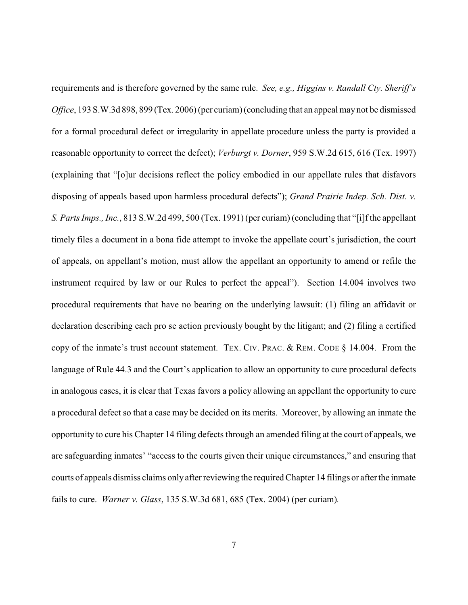requirements and is therefore governed by the same rule. *See, e.g., Higgins v. Randall Cty. Sheriff's Office*, 193 S.W.3d 898, 899 (Tex. 2006) (per curiam) (concluding that an appeal may not be dismissed for a formal procedural defect or irregularity in appellate procedure unless the party is provided a reasonable opportunity to correct the defect); *Verburgt v. Dorner*, 959 S.W.2d 615, 616 (Tex. 1997) (explaining that "[o]ur decisions reflect the policy embodied in our appellate rules that disfavors disposing of appeals based upon harmless procedural defects"); *Grand Prairie Indep. Sch. Dist. v. S. Parts Imps., Inc.*, 813 S.W.2d 499, 500 (Tex. 1991) (per curiam) (concluding that "[i]f the appellant timely files a document in a bona fide attempt to invoke the appellate court's jurisdiction, the court of appeals, on appellant's motion, must allow the appellant an opportunity to amend or refile the instrument required by law or our Rules to perfect the appeal"). Section 14.004 involves two procedural requirements that have no bearing on the underlying lawsuit: (1) filing an affidavit or declaration describing each pro se action previously bought by the litigant; and (2) filing a certified copy of the inmate's trust account statement. TEX. CIV. PRAC. & REM. CODE § 14.004. From the language of Rule 44.3 and the Court's application to allow an opportunity to cure procedural defects in analogous cases, it is clear that Texas favors a policy allowing an appellant the opportunity to cure a procedural defect so that a case may be decided on its merits. Moreover, by allowing an inmate the opportunity to cure his Chapter 14 filing defects through an amended filing at the court of appeals, we are safeguarding inmates' "access to the courts given their unique circumstances," and ensuring that courts of appeals dismiss claims only after reviewing the required Chapter 14 filings or after the inmate fails to cure. *Warner v. Glass*, 135 S.W.3d 681, 685 (Tex. 2004) (per curiam)*.*